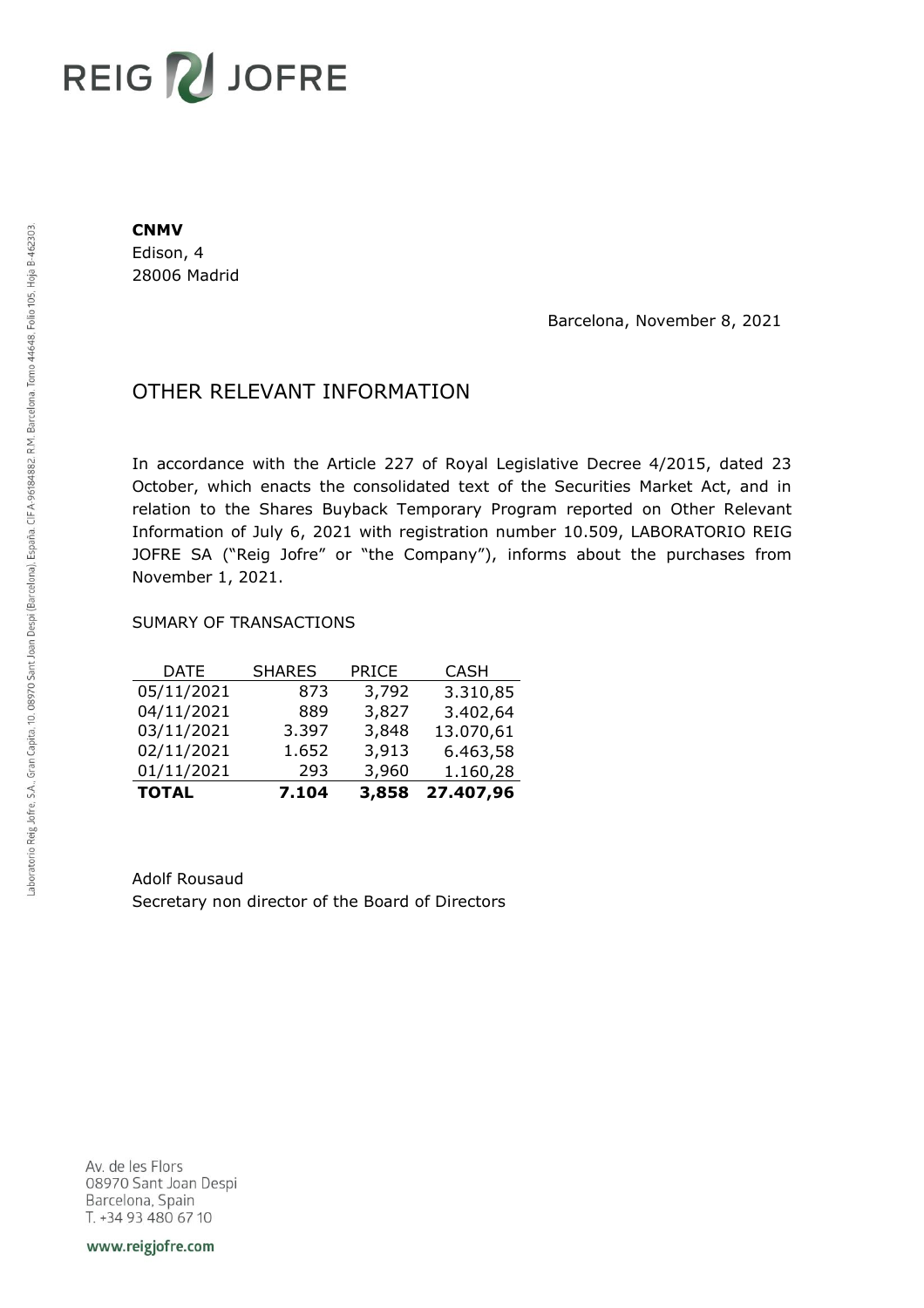# REIG V JOFRE

#### **CNMV**

Edison, 4 28006 Madrid

Barcelona, November 8, 2021

## OTHER RELEVANT INFORMATION

In accordance with the Article 227 of Royal Legislative Decree 4/2015, dated 23 October, which enacts the consolidated text of the Securities Market Act, and in relation to the Shares Buyback Temporary Program reported on Other Relevant Information of July 6, 2021 with registration number 10.509, LABORATORIO REIG JOFRE SA ("Reig Jofre" or "the Company"), informs about the purchases from November 1, 2021.

### SUMARY OF TRANSACTIONS

| <b>TOTAL</b> | 7.104         | 3,858        | 27.407,96   |
|--------------|---------------|--------------|-------------|
| 01/11/2021   | 293           | 3,960        | 1.160,28    |
| 02/11/2021   | 1.652         | 3,913        | 6.463,58    |
| 03/11/2021   | 3.397         | 3,848        | 13.070,61   |
| 04/11/2021   | 889           | 3,827        | 3.402,64    |
| 05/11/2021   | 873           | 3,792        | 3.310,85    |
| DATE         | <b>SHARES</b> | <b>PRICE</b> | <b>CASH</b> |

Adolf Rousaud Secretary non director of the Board of Directors

Av. de les Flors 08970 Sant Joan Despi Barcelona, Spain T. +34 93 480 67 10

www.reigjofre.com